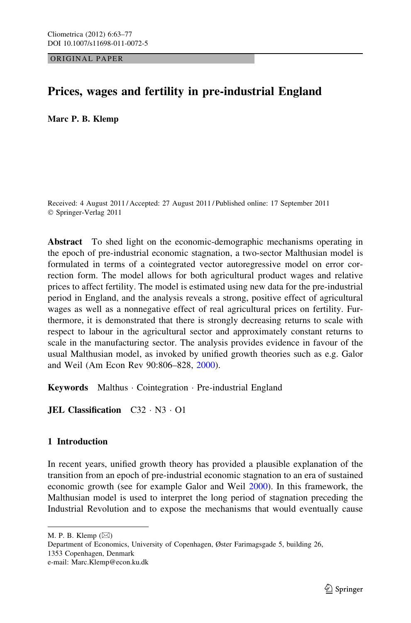ORIGINAL PAPER

# Prices, wages and fertility in pre-industrial England

Marc P. B. Klemp

Received: 4 August 2011 / Accepted: 27 August 2011 / Published online: 17 September 2011 © Springer-Verlag 2011

Abstract To shed light on the economic-demographic mechanisms operating in the epoch of pre-industrial economic stagnation, a two-sector Malthusian model is formulated in terms of a cointegrated vector autoregressive model on error correction form. The model allows for both agricultural product wages and relative prices to affect fertility. The model is estimated using new data for the pre-industrial period in England, and the analysis reveals a strong, positive effect of agricultural wages as well as a nonnegative effect of real agricultural prices on fertility. Furthermore, it is demonstrated that there is strongly decreasing returns to scale with respect to labour in the agricultural sector and approximately constant returns to scale in the manufacturing sector. The analysis provides evidence in favour of the usual Malthusian model, as invoked by unified growth theories such as e.g. Galor and Weil (Am Econ Rev 90:806–828, [2000](#page-14-0)).

Keywords Malthus - Cointegration - Pre-industrial England

**JEL Classification** C32 · N3 · O1

# 1 Introduction

In recent years, unified growth theory has provided a plausible explanation of the transition from an epoch of pre-industrial economic stagnation to an era of sustained economic growth (see for example Galor and Weil [2000](#page-14-0)). In this framework, the Malthusian model is used to interpret the long period of stagnation preceding the Industrial Revolution and to expose the mechanisms that would eventually cause

M. P. B. Klemp  $(\boxtimes)$ 

Department of Economics, University of Copenhagen, Øster Farimagsgade 5, building 26, 1353 Copenhagen, Denmark e-mail: Marc.Klemp@econ.ku.dk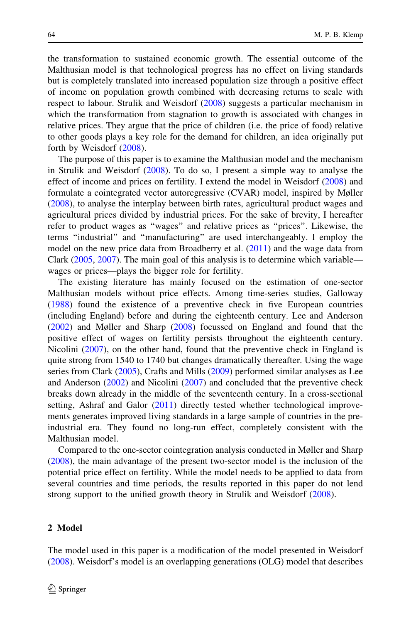the transformation to sustained economic growth. The essential outcome of the Malthusian model is that technological progress has no effect on living standards but is completely translated into increased population size through a positive effect of income on population growth combined with decreasing returns to scale with respect to labour. Strulik and Weisdorf ([2008\)](#page-14-0) suggests a particular mechanism in which the transformation from stagnation to growth is associated with changes in relative prices. They argue that the price of children (i.e. the price of food) relative to other goods plays a key role for the demand for children, an idea originally put forth by Weisdorf ([2008\)](#page-14-0).

The purpose of this paper is to examine the Malthusian model and the mechanism in Strulik and Weisdorf ([2008\)](#page-14-0). To do so, I present a simple way to analyse the effect of income and prices on fertility. I extend the model in Weisdorf ([2008\)](#page-14-0) and formulate a cointegrated vector autoregressive (CVAR) model, inspired by Møller [\(2008](#page-14-0)), to analyse the interplay between birth rates, agricultural product wages and agricultural prices divided by industrial prices. For the sake of brevity, I hereafter refer to product wages as ''wages'' and relative prices as ''prices''. Likewise, the terms ''industrial'' and ''manufacturing'' are used interchangeably. I employ the model on the new price data from Broadberry et al. ([2011\)](#page-13-0) and the wage data from Clark [\(2005](#page-13-0), [2007](#page-13-0)). The main goal of this analysis is to determine which variable wages or prices—plays the bigger role for fertility.

The existing literature has mainly focused on the estimation of one-sector Malthusian models without price effects. Among time-series studies, Galloway [\(1988](#page-14-0)) found the existence of a preventive check in five European countries (including England) before and during the eighteenth century. Lee and Anderson [\(2002](#page-14-0)) and Møller and Sharp ([2008\)](#page-14-0) focussed on England and found that the positive effect of wages on fertility persists throughout the eighteenth century. Nicolini ([2007\)](#page-14-0), on the other hand, found that the preventive check in England is quite strong from 1540 to 1740 but changes dramatically thereafter. Using the wage series from Clark [\(2005](#page-13-0)), Crafts and Mills ([2009\)](#page-13-0) performed similar analyses as Lee and Anderson ([2002\)](#page-14-0) and Nicolini [\(2007](#page-14-0)) and concluded that the preventive check breaks down already in the middle of the seventeenth century. In a cross-sectional setting, Ashraf and Galor ([2011\)](#page-13-0) directly tested whether technological improvements generates improved living standards in a large sample of countries in the preindustrial era. They found no long-run effect, completely consistent with the Malthusian model.

Compared to the one-sector cointegration analysis conducted in Møller and Sharp [\(2008](#page-14-0)), the main advantage of the present two-sector model is the inclusion of the potential price effect on fertility. While the model needs to be applied to data from several countries and time periods, the results reported in this paper do not lend strong support to the unified growth theory in Strulik and Weisdorf [\(2008](#page-14-0)).

### 2 Model

The model used in this paper is a modification of the model presented in Weisdorf [\(2008](#page-14-0)). Weisdorf's model is an overlapping generations (OLG) model that describes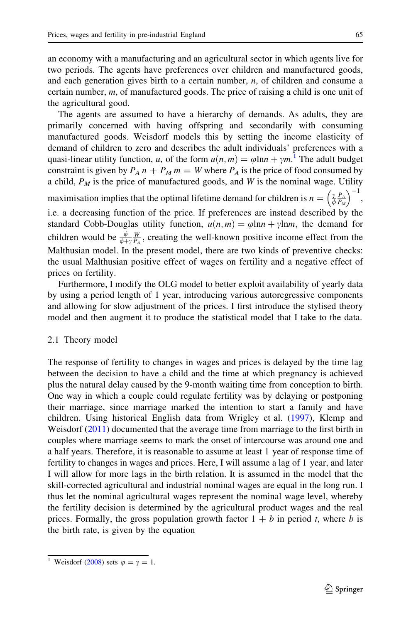<span id="page-2-0"></span>an economy with a manufacturing and an agricultural sector in which agents live for two periods. The agents have preferences over children and manufactured goods, and each generation gives birth to a certain number,  $n$ , of children and consume a certain number, m, of manufactured goods. The price of raising a child is one unit of the agricultural good.

The agents are assumed to have a hierarchy of demands. As adults, they are primarily concerned with having offspring and secondarily with consuming manufactured goods. Weisdorf models this by setting the income elasticity of demand of children to zero and describes the adult individuals' preferences with a quasi-linear utility function, u, of the form  $u(n,m) = \varphi \ln n + \gamma m$ .<sup>1</sup> The adult budget constraint is given by  $P_A n + P_M m = W$  where  $P_A$  is the price of food consumed by a child,  $P_M$  is the price of manufactured goods, and W is the nominal wage. Utility maximisation implies that the optimal lifetime demand for children is  $n = \left(\frac{\gamma}{\phi} \frac{P_A}{P_M}\right)$  $\left( \begin{array}{cc} 1 & -1 \end{array} \right)$ ;

i.e. a decreasing function of the price. If preferences are instead described by the standard Cobb-Douglas utility function,  $u(n, m) = \varphi \ln n + \gamma \ln m$ , the demand for children would be  $\frac{\phi}{\phi + \gamma} \frac{W}{P_A}$ , creating the well-known positive income effect from the Malthusian model. In the present model, there are two kinds of preventive checks: the usual Malthusian positive effect of wages on fertility and a negative effect of prices on fertility.

Furthermore, I modify the OLG model to better exploit availability of yearly data by using a period length of 1 year, introducing various autoregressive components and allowing for slow adjustment of the prices. I first introduce the stylised theory model and then augment it to produce the statistical model that I take to the data.

#### 2.1 Theory model

The response of fertility to changes in wages and prices is delayed by the time lag between the decision to have a child and the time at which pregnancy is achieved plus the natural delay caused by the 9-month waiting time from conception to birth. One way in which a couple could regulate fertility was by delaying or postponing their marriage, since marriage marked the intention to start a family and have children. Using historical English data from Wrigley et al. ([1997\)](#page-14-0), Klemp and Weisdorf ([2011\)](#page-14-0) documented that the average time from marriage to the first birth in couples where marriage seems to mark the onset of intercourse was around one and a half years. Therefore, it is reasonable to assume at least 1 year of response time of fertility to changes in wages and prices. Here, I will assume a lag of 1 year, and later I will allow for more lags in the birth relation. It is assumed in the model that the skill-corrected agricultural and industrial nominal wages are equal in the long run. I thus let the nominal agricultural wages represent the nominal wage level, whereby the fertility decision is determined by the agricultural product wages and the real prices. Formally, the gross population growth factor  $1 + b$  in period t, where b is the birth rate, is given by the equation

<sup>&</sup>lt;sup>1</sup> Weisdorf ([2008\)](#page-14-0) sets  $\varphi = \gamma = 1$ .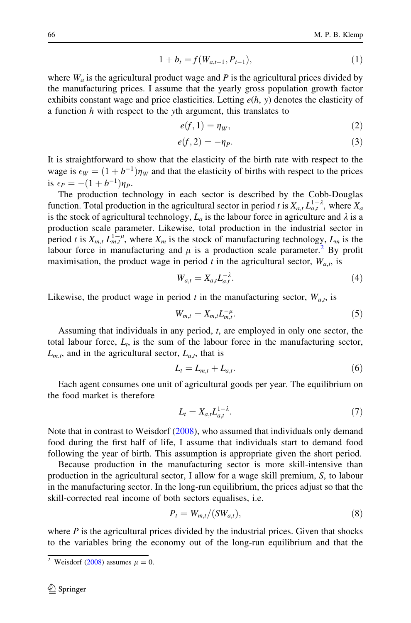$$
1 + b_t = f(W_{a,t-1}, P_{t-1}),
$$
\n(1)

<span id="page-3-0"></span>where  $W_a$  is the agricultural product wage and P is the agricultural prices divided by the manufacturing prices. I assume that the yearly gross population growth factor exhibits constant wage and price elasticities. Letting  $e(h, y)$  denotes the elasticity of a function  $h$  with respect to the yth argument, this translates to

$$
e(f,1) = \eta_W,\tag{2}
$$

$$
e(f,2) = -\eta_P. \tag{3}
$$

It is straightforward to show that the elasticity of the birth rate with respect to the wage is  $\epsilon_W = (1 + b^{-1})\eta_W$  and that the elasticity of births with respect to the prices is  $\epsilon_P = -(1 + b^{-1})\eta_P$ .

The production technology in each sector is described by the Cobb-Douglas function. Total production in the agricultural sector in period t is  $X_{a,t} L_{a,t}^{1-\lambda}$ , where  $X_a$ is the stock of agricultural technology,  $L_a$  is the labour force in agriculture and  $\lambda$  is a production scale parameter. Likewise, total production in the industrial sector in period t is  $X_{m,t} L_{m,t}^{1-\mu}$ , where  $X_m$  is the stock of manufacturing technology,  $L_m$  is the labour force in manufacturing and  $\mu$  is a production scale parameter.<sup>2</sup> By profit maximisation, the product wage in period t in the agricultural sector,  $W_{a,t}$ , is

$$
W_{a,t} = X_{a,t} L_{a,t}^{-\lambda}.
$$
\n<sup>(4)</sup>

Likewise, the product wage in period t in the manufacturing sector,  $W_{a,t}$ , is

$$
W_{m,t} = X_{m,t} L_{m,t}^{-\mu}.
$$
\n<sup>(5)</sup>

Assuming that individuals in any period, t, are employed in only one sector, the total labour force,  $L_t$ , is the sum of the labour force in the manufacturing sector,  $L_{m,t}$ , and in the agricultural sector,  $L_{a,t}$ , that is

$$
L_t = L_{m,t} + L_{a,t}.\tag{6}
$$

Each agent consumes one unit of agricultural goods per year. The equilibrium on the food market is therefore

$$
L_t = X_{a,t} L_{a,t}^{1-\lambda}.
$$
\n<sup>(7)</sup>

Note that in contrast to Weisdorf ([2008\)](#page-14-0), who assumed that individuals only demand food during the first half of life, I assume that individuals start to demand food following the year of birth. This assumption is appropriate given the short period.

Because production in the manufacturing sector is more skill-intensive than production in the agricultural sector, I allow for a wage skill premium, S, to labour in the manufacturing sector. In the long-run equilibrium, the prices adjust so that the skill-corrected real income of both sectors equalises, i.e.

$$
P_t = W_{m,t}/(SW_{a,t}),\tag{8}
$$

where  $P$  is the agricultural prices divided by the industrial prices. Given that shocks to the variables bring the economy out of the long-run equilibrium and that the

<sup>&</sup>lt;sup>2</sup> Weisdorf ([2008\)](#page-14-0) assumes  $\mu = 0$ .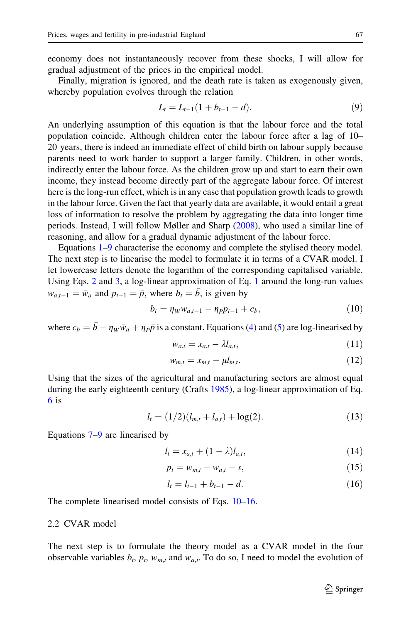<span id="page-4-0"></span>economy does not instantaneously recover from these shocks, I will allow for gradual adjustment of the prices in the empirical model.

Finally, migration is ignored, and the death rate is taken as exogenously given, whereby population evolves through the relation

$$
L_t = L_{t-1}(1 + b_{t-1} - d). \tag{9}
$$

An underlying assumption of this equation is that the labour force and the total population coincide. Although children enter the labour force after a lag of 10– 20 years, there is indeed an immediate effect of child birth on labour supply because parents need to work harder to support a larger family. Children, in other words, indirectly enter the labour force. As the children grow up and start to earn their own income, they instead become directly part of the aggregate labour force. Of interest here is the long-run effect, which is in any case that population growth leads to growth in the labour force. Given the fact that yearly data are available, it would entail a great loss of information to resolve the problem by aggregating the data into longer time periods. Instead, I will follow Møller and Sharp ([2008\)](#page-14-0), who used a similar line of reasoning, and allow for a gradual dynamic adjustment of the labour force.

Equations [1](#page-2-0)–9 characterise the economy and complete the stylised theory model. The next step is to linearise the model to formulate it in terms of a CVAR model. I let lowercase letters denote the logarithm of the corresponding capitalised variable. Using Eqs. [2](#page-3-0) and [3](#page-3-0), a log-linear approximation of Eq. [1](#page-2-0) around the long-run values  $w_{a,t-1} = \bar{w}_a$  and  $p_{t-1} = \bar{p}$ , where  $b_t = \bar{b}$ , is given by

$$
b_t = \eta_W w_{a,t-1} - \eta_P p_{t-1} + c_b, \tag{10}
$$

where  $c_b = \bar{b} - \eta_W \bar{w}_a + \eta_P \bar{p}$  is a constant. Equations [\(4](#page-3-0)) and ([5](#page-3-0)) are log-linearised by

$$
w_{a,t} = x_{a,t} - \lambda l_{a,t},\tag{11}
$$

$$
w_{m,t} = x_{m,t} - \mu l_{m,t}.\tag{12}
$$

Using that the sizes of the agricultural and manufacturing sectors are almost equal during the early eighteenth century (Crafts [1985](#page-14-0)), a log-linear approximation of Eq. [6](#page-3-0) is

$$
l_t = (1/2)(l_{m,t} + l_{a,t}) + \log(2). \tag{13}
$$

Equations [7](#page-3-0)–9 are linearised by

$$
l_t = x_{a,t} + (1 - \lambda)l_{a,t},
$$
\n(14)

$$
p_t = w_{m,t} - w_{a,t} - s,\t\t(15)
$$

$$
l_t = l_{t-1} + b_{t-1} - d.
$$
\n(16)

The complete linearised model consists of Eqs. 10–16.

#### 2.2 CVAR model

The next step is to formulate the theory model as a CVAR model in the four observable variables  $b_t$ ,  $p_t$ ,  $w_{m,t}$  and  $w_{a,t}$ . To do so, I need to model the evolution of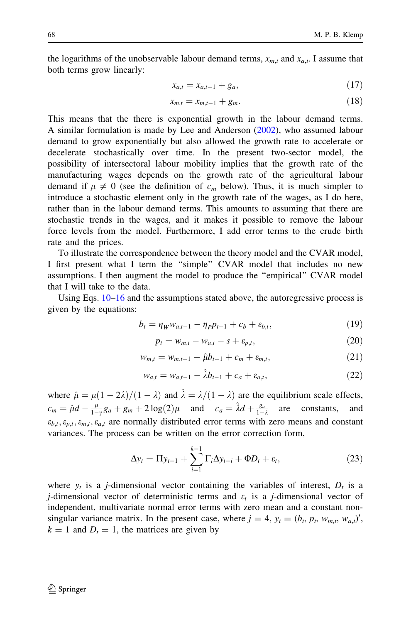the logarithms of the unobservable labour demand terms,  $x_{m,t}$  and  $x_{a,t}$ . I assume that both terms grow linearly:

$$
x_{a,t} = x_{a,t-1} + g_a,\tag{17}
$$

$$
x_{m,t} = x_{m,t-1} + g_m. \tag{18}
$$

This means that the there is exponential growth in the labour demand terms. A similar formulation is made by Lee and Anderson ([2002\)](#page-14-0), who assumed labour demand to grow exponentially but also allowed the growth rate to accelerate or decelerate stochastically over time. In the present two-sector model, the possibility of intersectoral labour mobility implies that the growth rate of the manufacturing wages depends on the growth rate of the agricultural labour demand if  $\mu \neq 0$  (see the definition of  $c_m$  below). Thus, it is much simpler to introduce a stochastic element only in the growth rate of the wages, as I do here, rather than in the labour demand terms. This amounts to assuming that there are stochastic trends in the wages, and it makes it possible to remove the labour force levels from the model. Furthermore, I add error terms to the crude birth rate and the prices.

To illustrate the correspondence between the theory model and the CVAR model, I first present what I term the ''simple'' CVAR model that includes no new assumptions. I then augment the model to produce the ''empirical'' CVAR model that I will take to the data.

Using Eqs. [10–16](#page-4-0) and the assumptions stated above, the autoregressive process is given by the equations:

$$
b_t = \eta_W w_{a,t-1} - \eta_P p_{t-1} + c_b + \varepsilon_{b,t},
$$
\n(19)

$$
p_t = w_{m,t} - w_{a,t} - s + \varepsilon_{p,t},\tag{20}
$$

$$
w_{m,t} = w_{m,t-1} - \hat{\mu} b_{t-1} + c_m + \varepsilon_{m,t}, \tag{21}
$$

$$
w_{a,t} = w_{a,t-1} - \hat{\lambda}b_{t-1} + c_a + \varepsilon_{a,t},
$$
\n(22)

where  $\hat{\mu} = \mu(1 - 2\lambda)/(1 - \lambda)$  and  $\hat{\lambda} = \lambda/(1 - \lambda)$  are the equilibrium scale effects,  $c_m = \hat{\mu}d - \frac{\mu}{1-\gamma}g_a + g_m + 2\log(2)\mu$  and  $c_a = \hat{\lambda}d + \frac{g_a}{1-\gamma}$ are constants, and  $\varepsilon_{b,t}, \varepsilon_{p,t}, \varepsilon_{m,t}, \varepsilon_{a,t}$  are normally distributed error terms with zero means and constant variances. The process can be written on the error correction form,

$$
\Delta y_t = \Pi y_{t-1} + \sum_{i=1}^{k-1} \Gamma_i \Delta y_{t-i} + \Phi D_t + \varepsilon_t, \qquad (23)
$$

where  $y_t$  is a *j*-dimensional vector containing the variables of interest,  $D_t$  is a *j*-dimensional vector of deterministic terms and  $\varepsilon_t$  is a *j*-dimensional vector of independent, multivariate normal error terms with zero mean and a constant nonsingular variance matrix. In the present case, where  $j = 4$ ,  $y_t = (b_t, p_t, w_{m,t}, w_{a,t})'$ ,  $k = 1$  and  $D_t = 1$ , the matrices are given by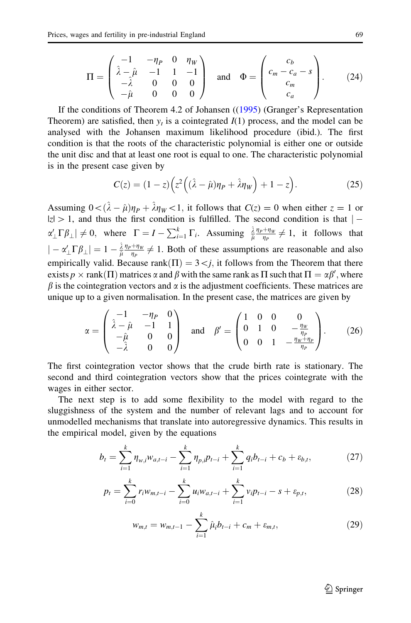$$
\Pi = \begin{pmatrix} -1 & -\eta_P & 0 & \eta_W \\ \hat{\lambda} - \hat{\mu} & -1 & 1 & -1 \\ -\hat{\lambda} & 0 & 0 & 0 \\ -\hat{\mu} & 0 & 0 & 0 \end{pmatrix} \text{ and } \Phi = \begin{pmatrix} c_b & \\ c_m - c_a - s \\ c_m & \\ c_a \end{pmatrix}.
$$
 (24)

If the conditions of Theorem 4.2 of Johansen (([1995\)](#page-14-0) (Granger's Representation Theorem) are satisfied, then  $y_t$  is a cointegrated  $I(1)$  process, and the model can be analysed with the Johansen maximum likelihood procedure (ibid.). The first condition is that the roots of the characteristic polynomial is either one or outside the unit disc and that at least one root is equal to one. The characteristic polynomial is in the present case given by

$$
C(z) = (1-z)\left(z^2\left((\hat{\lambda} - \hat{\mu})\eta_P + \hat{\lambda}\eta_W\right) + 1 - z\right).
$$
 (25)

Assuming  $0<(\hat{\lambda} - \hat{\mu})\eta_p + \hat{\lambda}\eta_w\lt 1$ , it follows that  $C(z) = 0$  when either  $z = 1$  or  $|z| > 1$ , and thus the first condition is fulfilled. The second condition is that  $|$  $\alpha'_\perp \Gamma \beta_\perp \neq 0$ , where  $\Gamma = I - \sum_{i=1}^k \Gamma_i$ . Assuming  $\frac{\hat{\lambda}}{\hat{\mu}} \frac{\eta_P + \eta_W}{\eta_P}$  $rac{+\eta_W}{\eta_P} \neq 1$ , it follows that  $|-\alpha'_{\perp}\Gamma\beta_{\perp}|=1-\frac{\hat{\lambda}}{\hat{\mu}}\frac{\eta_{P}+\eta_{W}}{\eta_{P}}$  $\frac{f^2 H_W}{\eta_P} \neq 1$ . Both of these assumptions are reasonable and also empirically valid. Because rank $(\Pi) = 3 \lt j$ , it follows from the Theorem that there exists  $p \times \text{rank}(\Pi)$  matrices  $\alpha$  and  $\beta$  with the same rank as  $\Pi$  such that  $\Pi = \alpha \beta'$ , where  $\beta$  is the cointegration vectors and  $\alpha$  is the adjustment coefficients. These matrices are unique up to a given normalisation. In the present case, the matrices are given by

$$
\alpha = \begin{pmatrix} -1 & -\eta_P & 0 \\ \hat{\lambda} - \hat{\mu} & -1 & 1 \\ -\hat{\mu} & 0 & 0 \\ -\hat{\lambda} & 0 & 0 \end{pmatrix} \text{ and } \beta' = \begin{pmatrix} 1 & 0 & 0 & 0 \\ 0 & 1 & 0 & -\frac{\eta_w}{\eta_P} \\ 0 & 0 & 1 & -\frac{\eta_w + \eta_P}{\eta_P} \end{pmatrix}.
$$
 (26)

The first cointegration vector shows that the crude birth rate is stationary. The second and third cointegration vectors show that the prices cointegrate with the wages in either sector.

The next step is to add some flexibility to the model with regard to the sluggishness of the system and the number of relevant lags and to account for unmodelled mechanisms that translate into autoregressive dynamics. This results in the empirical model, given by the equations

$$
b_t = \sum_{i=1}^k \eta_{w,i} w_{a,t-i} - \sum_{i=1}^k \eta_{p,i} p_{t-i} + \sum_{i=1}^k q_i b_{t-i} + c_b + \varepsilon_{b,t},
$$
 (27)

$$
p_t = \sum_{i=0}^k r_i w_{m,t-i} - \sum_{i=0}^k u_i w_{a,t-i} + \sum_{i=1}^k v_i p_{t-i} - s + \varepsilon_{p,t},
$$
 (28)

$$
w_{m,t} = w_{m,t-1} - \sum_{i=1}^{k} \hat{\mu}_i b_{t-i} + c_m + \varepsilon_{m,t},
$$
\n(29)

 $\bigcirc$  Springer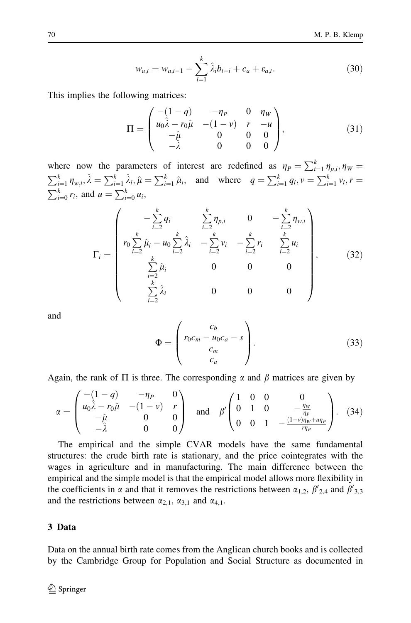$$
w_{a,t} = w_{a,t-1} - \sum_{i=1}^{k} \hat{\lambda}_i b_{t-i} + c_a + \varepsilon_{a,t}.
$$
 (30)

This implies the following matrices:

$$
\Pi = \begin{pmatrix}\n-(1-q) & -\eta_P & 0 & \eta_W \\
u_0\hat{\lambda} - r_0\hat{\mu} & -(1-\nu) & r & -u \\
-\hat{\mu} & 0 & 0 & 0 \\
-\hat{\lambda} & 0 & 0 & 0\n\end{pmatrix},
$$
\n(31)

where now the parameters of interest are redefined as  $\eta_P = \sum_{i=1}^k \eta_{p,i}, \eta_W = \sum_{i=1}^k \eta_{w,i}, \hat{\lambda} = \sum_{i=1}^k \hat{\lambda}_i, \hat{\mu} = \sum_{i=1}^k \hat{\mu}_i,$  and where  $q = \sum_{i=1}^k q_i, v = \sum_{i=1}^k v_i, r = \sum_{i=0}^k r_i$ , and  $u = \sum_{i=0}^k u_i$ ,

$$
\Gamma_{i} = \begin{pmatrix}\n-\sum_{i=2}^{k} q_{i} & \sum_{i=2}^{k} \eta_{p,i} & 0 & -\sum_{i=2}^{k} \eta_{w,i} \\
r_{0} \sum_{i=2}^{k} \hat{\mu}_{i} - u_{0} \sum_{i=2}^{k} \hat{\lambda}_{i} & -\sum_{i=2}^{k} v_{i} & -\sum_{i=2}^{k} r_{i} & \sum_{i=2}^{k} u_{i} \\
\sum_{i=2}^{k} \hat{\mu}_{i} & 0 & 0 & 0 \\
\sum_{i=2}^{k} \hat{\lambda}_{i} & 0 & 0 & 0\n\end{pmatrix},
$$
(32)

and

$$
\Phi = \begin{pmatrix} c_b \\ r_0 c_m - u_0 c_a - s \\ c_m \\ c_a \end{pmatrix} . \tag{33}
$$

Again, the rank of  $\Pi$  is three. The corresponding  $\alpha$  and  $\beta$  matrices are given by

$$
\alpha = \begin{pmatrix} -(1-q) & -\eta_P & 0 \\ u_0 \hat{\lambda} - r_0 \hat{\mu} & -(1-\nu) & r \\ -\hat{\mu} & 0 & 0 \\ -\hat{\lambda} & 0 & 0 \end{pmatrix} \text{ and } \beta' \begin{pmatrix} 1 & 0 & 0 & 0 \\ 0 & 1 & 0 & -\frac{\eta_W}{\eta_P} \\ 0 & 0 & 1 & -\frac{(1-\nu)\eta_W + u\eta_P}{r\eta_P} \end{pmatrix}.
$$
 (34)

The empirical and the simple CVAR models have the same fundamental structures: the crude birth rate is stationary, and the price cointegrates with the wages in agriculture and in manufacturing. The main difference between the empirical and the simple model is that the empirical model allows more flexibility in the coefficients in  $\alpha$  and that it removes the restrictions between  $\alpha_{1,2}$ ,  $\beta'_{2,4}$  and  $\beta'_{3,3}$ and the restrictions between  $\alpha_{2,1}$ ,  $\alpha_{3,1}$  and  $\alpha_{4,1}$ .

#### 3 Data

Data on the annual birth rate comes from the Anglican church books and is collected by the Cambridge Group for Population and Social Structure as documented in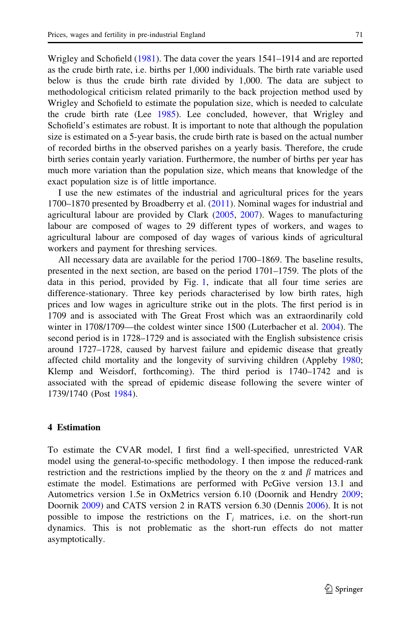Wrigley and Schofield ([1981\)](#page-14-0). The data cover the years 1541–1914 and are reported as the crude birth rate, i.e. births per 1,000 individuals. The birth rate variable used below is thus the crude birth rate divided by 1,000. The data are subject to methodological criticism related primarily to the back projection method used by Wrigley and Schofield to estimate the population size, which is needed to calculate the crude birth rate (Lee [1985](#page-14-0)). Lee concluded, however, that Wrigley and Schofield's estimates are robust. It is important to note that although the population size is estimated on a 5-year basis, the crude birth rate is based on the actual number of recorded births in the observed parishes on a yearly basis. Therefore, the crude birth series contain yearly variation. Furthermore, the number of births per year has much more variation than the population size, which means that knowledge of the exact population size is of little importance.

I use the new estimates of the industrial and agricultural prices for the years 1700–1870 presented by Broadberry et al. [\(2011](#page-13-0)). Nominal wages for industrial and agricultural labour are provided by Clark [\(2005](#page-13-0), [2007\)](#page-13-0). Wages to manufacturing labour are composed of wages to 29 different types of workers, and wages to agricultural labour are composed of day wages of various kinds of agricultural workers and payment for threshing services.

All necessary data are available for the period 1700–1869. The baseline results, presented in the next section, are based on the period 1701–1759. The plots of the data in this period, provided by Fig. [1,](#page-9-0) indicate that all four time series are difference-stationary. Three key periods characterised by low birth rates, high prices and low wages in agriculture strike out in the plots. The first period is in 1709 and is associated with The Great Frost which was an extraordinarily cold winter in 1708/1709—the coldest winter since 1500 (Luterbacher et al. [2004\)](#page-14-0). The second period is in 1728–1729 and is associated with the English subsistence crisis around 1727–1728, caused by harvest failure and epidemic disease that greatly affected child mortality and the longevity of surviving children (Appleby [1980;](#page-13-0) Klemp and Weisdorf, forthcoming). The third period is 1740–1742 and is associated with the spread of epidemic disease following the severe winter of 1739/1740 (Post [1984\)](#page-14-0).

#### 4 Estimation

To estimate the CVAR model, I first find a well-specified, unrestricted VAR model using the general-to-specific methodology. I then impose the reduced-rank restriction and the restrictions implied by the theory on the  $\alpha$  and  $\beta$  matrices and estimate the model. Estimations are performed with PcGive version 13.1 and Autometrics version 1.5e in OxMetrics version 6.10 (Doornik and Hendry [2009;](#page-14-0) Doornik [2009](#page-14-0)) and CATS version 2 in RATS version 6.30 (Dennis [2006\)](#page-14-0). It is not possible to impose the restrictions on the  $\Gamma_i$  matrices, i.e. on the short-run dynamics. This is not problematic as the short-run effects do not matter asymptotically.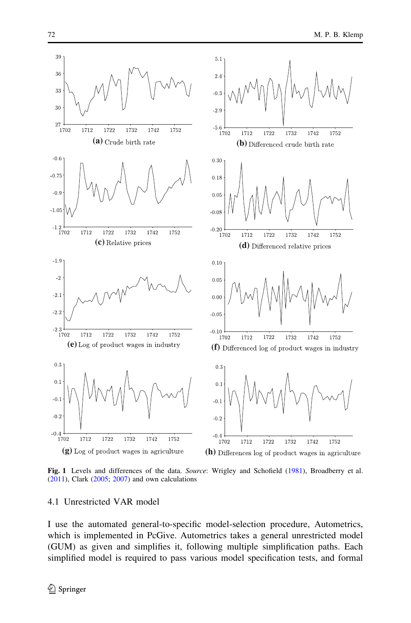<span id="page-9-0"></span>

Fig. 1 Levels and differences of the data. Source: Wrigley and Schofield ([1981\)](#page-14-0), Broadberry et al. ([2011\)](#page-13-0), Clark ([2005;](#page-13-0) [2007\)](#page-13-0) and own calculations

#### 4.1 Unrestricted VAR model

I use the automated general-to-specific model-selection procedure, Autometrics, which is implemented in PcGive. Autometrics takes a general unrestricted model (GUM) as given and simplifies it, following multiple simplification paths. Each simplified model is required to pass various model specification tests, and formal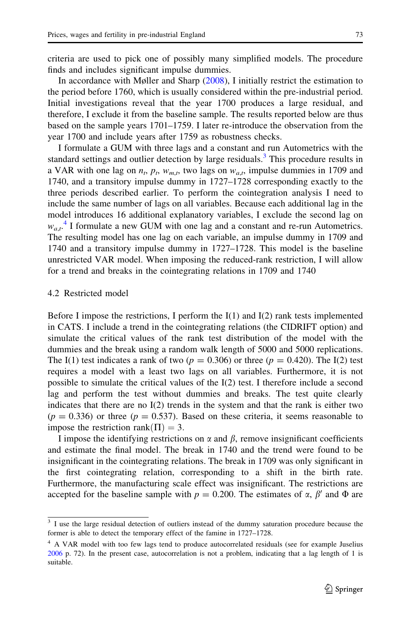criteria are used to pick one of possibly many simplified models. The procedure finds and includes significant impulse dummies.

In accordance with Møller and Sharp [\(2008](#page-14-0)), I initially restrict the estimation to the period before 1760, which is usually considered within the pre-industrial period. Initial investigations reveal that the year 1700 produces a large residual, and therefore, I exclude it from the baseline sample. The results reported below are thus based on the sample years 1701–1759. I later re-introduce the observation from the year 1700 and include years after 1759 as robustness checks.

I formulate a GUM with three lags and a constant and run Autometrics with the standard settings and outlier detection by large residuals.<sup>3</sup> This procedure results in a VAR with one lag on  $n_t$ ,  $p_t$ ,  $w_{m,t}$ , two lags on  $w_{a,t}$ , impulse dummies in 1709 and 1740, and a transitory impulse dummy in 1727–1728 corresponding exactly to the three periods described earlier. To perform the cointegration analysis I need to include the same number of lags on all variables. Because each additional lag in the model introduces 16 additional explanatory variables, I exclude the second lag on  $w_{a,t}$ <sup>4</sup> I formulate a new GUM with one lag and a constant and re-run Autometrics. The resulting model has one lag on each variable, an impulse dummy in 1709 and 1740 and a transitory impulse dummy in 1727–1728. This model is the baseline unrestricted VAR model. When imposing the reduced-rank restriction, I will allow for a trend and breaks in the cointegrating relations in 1709 and 1740

#### 4.2 Restricted model

Before I impose the restrictions, I perform the  $I(1)$  and  $I(2)$  rank tests implemented in CATS. I include a trend in the cointegrating relations (the CIDRIFT option) and simulate the critical values of the rank test distribution of the model with the dummies and the break using a random walk length of 5000 and 5000 replications. The I(1) test indicates a rank of two ( $p = 0.306$ ) or three ( $p = 0.420$ ). The I(2) test requires a model with a least two lags on all variables. Furthermore, it is not possible to simulate the critical values of the I(2) test. I therefore include a second lag and perform the test without dummies and breaks. The test quite clearly indicates that there are no  $I(2)$  trends in the system and that the rank is either two  $(p = 0.336)$  or three  $(p = 0.537)$ . Based on these criteria, it seems reasonable to impose the restriction rank $(\Pi) = 3$ .

I impose the identifying restrictions on  $\alpha$  and  $\beta$ , remove insignificant coefficients and estimate the final model. The break in 1740 and the trend were found to be insignificant in the cointegrating relations. The break in 1709 was only significant in the first cointegrating relation, corresponding to a shift in the birth rate. Furthermore, the manufacturing scale effect was insignificant. The restrictions are accepted for the baseline sample with  $p = 0.200$ . The estimates of  $\alpha$ ,  $\beta'$  and  $\Phi$  are

<sup>&</sup>lt;sup>3</sup> I use the large residual detection of outliers instead of the dummy saturation procedure because the former is able to detect the temporary effect of the famine in 1727–1728.

<sup>&</sup>lt;sup>4</sup> A VAR model with too few lags tend to produce autocorrelated residuals (see for example Juselius [2006](#page-14-0) p. 72). In the present case, autocorrelation is not a problem, indicating that a lag length of 1 is suitable.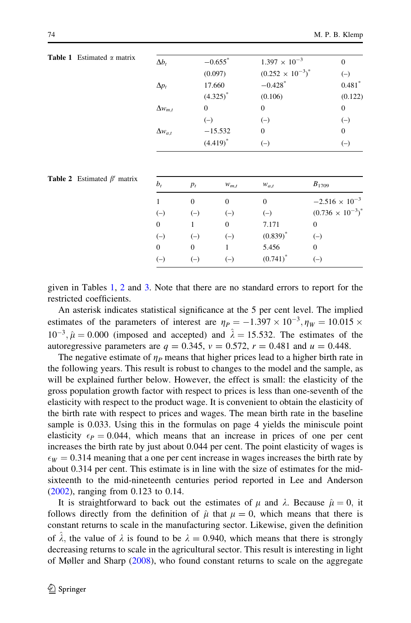| <b>Table 1</b> Estimated $\alpha$ matrix | $\Delta b_t$     | $-0.655$ <sup>*</sup> | $1.397 \times 10^{-3}$     | $\boldsymbol{0}$ |  |  |
|------------------------------------------|------------------|-----------------------|----------------------------|------------------|--|--|
|                                          |                  | (0.097)               | $(0.252 \times 10^{-3})^*$ | $(-)$            |  |  |
|                                          | $\Delta p_t$     | 17.660                | $-0.428$ <sup>*</sup>      | $0.481*$         |  |  |
|                                          |                  | $(4.325)^{*}$         | (0.106)                    | (0.122)          |  |  |
|                                          | $\Delta w_{m,t}$ | $\overline{0}$        | $\theta$                   | $\boldsymbol{0}$ |  |  |
|                                          |                  | $(-)$                 | $(-)$                      | $(-)$            |  |  |
|                                          | $\Delta w_{a,t}$ | $-15.532$             | $\overline{0}$             | $\boldsymbol{0}$ |  |  |
|                                          |                  | $(4.419)^*$           | $(-)$                      | $(-)$            |  |  |
|                                          |                  |                       |                            |                  |  |  |
|                                          |                  |                       |                            |                  |  |  |

| matrix | $b_{t}$        | $p_t$    | $W_{m,t}$ | $W_{a,t}$   | $B_{1709}$                 |
|--------|----------------|----------|-----------|-------------|----------------------------|
|        |                | $\Omega$ | $\Omega$  | $\Omega$    | $-2.516 \times 10^{-3}$    |
|        | $(-)$          | $(-)$    | $(-)$     | $(-)$       | $(0.736 \times 10^{-3})^*$ |
|        | $\overline{0}$ |          | $\theta$  | 7.171       | 0                          |
|        | $(-)$          | $(-)$    | $(-)$     | $(0.839)^*$ | $(-)$                      |
|        | $\overline{0}$ | $\Omega$ |           | 5.456       | 0                          |
|        | $(-)$          |          | $(-)$     | $(0.741)^*$ |                            |
|        |                |          |           |             |                            |

**Table 2** Estimated  $\beta'$ 

given in Tables 1, 2 and [3.](#page-12-0) Note that there are no standard errors to report for the restricted coefficients.

An asterisk indicates statistical significance at the 5 per cent level. The implied estimates of the parameters of interest are  $\eta_P = -1.397 \times 10^{-3}$ ,  $\eta_W = 10.015 \times$  $10^{-3}$ ,  $\hat{\mu} = 0.000$  (imposed and accepted) and  $\hat{\lambda} = 15.532$ . The estimates of the autoregressive parameters are  $q = 0.345$ ,  $v = 0.572$ ,  $r = 0.481$  and  $u = 0.448$ .

The negative estimate of  $\eta_P$  means that higher prices lead to a higher birth rate in the following years. This result is robust to changes to the model and the sample, as will be explained further below. However, the effect is small: the elasticity of the gross population growth factor with respect to prices is less than one-seventh of the elasticity with respect to the product wage. It is convenient to obtain the elasticity of the birth rate with respect to prices and wages. The mean birth rate in the baseline sample is 0.033. Using this in the formulas on page 4 yields the miniscule point elasticity  $\epsilon_P = 0.044$ , which means that an increase in prices of one per cent increases the birth rate by just about 0.044 per cent. The point elasticity of wages is  $\epsilon_W = 0.314$  meaning that a one per cent increase in wages increases the birth rate by about 0.314 per cent. This estimate is in line with the size of estimates for the midsixteenth to the mid-nineteenth centuries period reported in Lee and Anderson [\(2002](#page-14-0)), ranging from 0.123 to 0.14.

It is straightforward to back out the estimates of  $\mu$  and  $\lambda$ . Because  $\hat{\mu} = 0$ , it follows directly from the definition of  $\hat{\mu}$  that  $\mu = 0$ , which means that there is constant returns to scale in the manufacturing sector. Likewise, given the definition of  $\lambda$ , the value of  $\lambda$  is found to be  $\lambda = 0.940$ , which means that there is strongly decreasing returns to scale in the agricultural sector. This result is interesting in light of Møller and Sharp [\(2008](#page-14-0)), who found constant returns to scale on the aggregate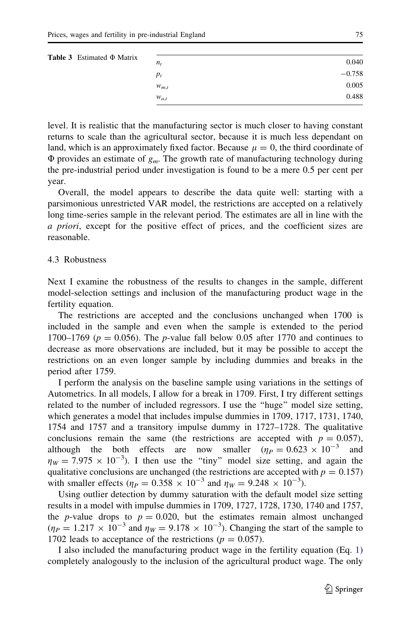<span id="page-12-0"></span>

| <b>Table 3</b> Estimated $\Phi$ Matrix |           |          |  |
|----------------------------------------|-----------|----------|--|
|                                        | $n_{t}$   | 0.040    |  |
|                                        | $p_t$     | $-0.758$ |  |
|                                        | $W_{m,t}$ | 0.005    |  |
|                                        | $W_{a,t}$ | 0.488    |  |

level. It is realistic that the manufacturing sector is much closer to having constant returns to scale than the agricultural sector, because it is much less dependant on land, which is an approximately fixed factor. Because  $\mu = 0$ , the third coordinate of  $\Phi$  provides an estimate of  $g_m$ . The growth rate of manufacturing technology during the pre-industrial period under investigation is found to be a mere 0.5 per cent per year.

Overall, the model appears to describe the data quite well: starting with a parsimonious unrestricted VAR model, the restrictions are accepted on a relatively long time-series sample in the relevant period. The estimates are all in line with the a priori, except for the positive effect of prices, and the coefficient sizes are reasonable.

## 4.3 Robustness

Next I examine the robustness of the results to changes in the sample, different model-selection settings and inclusion of the manufacturing product wage in the fertility equation.

The restrictions are accepted and the conclusions unchanged when 1700 is included in the sample and even when the sample is extended to the period 1700–1769 ( $p = 0.056$ ). The *p*-value fall below 0.05 after 1770 and continues to decrease as more observations are included, but it may be possible to accept the restrictions on an even longer sample by including dummies and breaks in the period after 1759.

I perform the analysis on the baseline sample using variations in the settings of Autometrics. In all models, I allow for a break in 1709. First, I try different settings related to the number of included regressors. I use the ''huge'' model size setting, which generates a model that includes impulse dummies in 1709, 1717, 1731, 1740, 1754 and 1757 and a transitory impulse dummy in 1727–1728. The qualitative conclusions remain the same (the restrictions are accepted with  $p = 0.057$ ), although the both effects are now smaller  $(\eta_P = 0.623 \times 10^{-3}$  and  $\eta_W = 7.975 \times 10^{-3}$ ). I then use the "tiny" model size setting, and again the qualitative conclusions are unchanged (the restrictions are accepted with  $p = 0.157$ ) with smaller effects ( $\eta_P = 0.358 \times 10^{-3}$  and  $\eta_W = 9.248 \times 10^{-3}$ ).

Using outlier detection by dummy saturation with the default model size setting results in a model with impulse dummies in 1709, 1727, 1728, 1730, 1740 and 1757, the *p*-value drops to  $p = 0.020$ , but the estimates remain almost unchanged  $(\eta_P = 1.217 \times 10^{-3}$  and  $\eta_W = 9.178 \times 10^{-3}$ ). Changing the start of the sample to 1702 leads to acceptance of the restrictions ( $p = 0.057$ ).

I also included the manufacturing product wage in the fertility equation (Eq. [1](#page-2-0)) completely analogously to the inclusion of the agricultural product wage. The only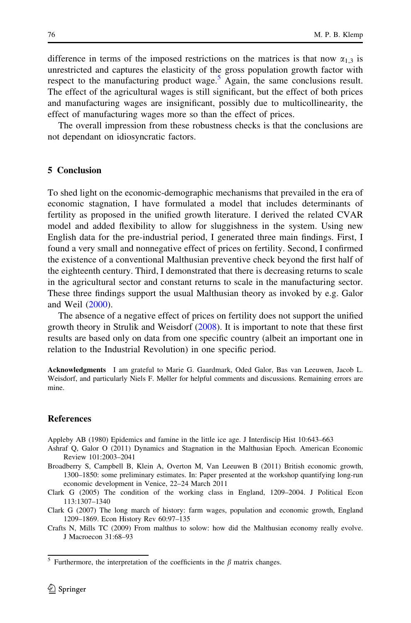<span id="page-13-0"></span>difference in terms of the imposed restrictions on the matrices is that now  $\alpha_{1,3}$  is unrestricted and captures the elasticity of the gross population growth factor with respect to the manufacturing product wage. $\delta$  Again, the same conclusions result. The effect of the agricultural wages is still significant, but the effect of both prices and manufacturing wages are insignificant, possibly due to multicollinearity, the effect of manufacturing wages more so than the effect of prices.

The overall impression from these robustness checks is that the conclusions are not dependant on idiosyncratic factors.

#### 5 Conclusion

To shed light on the economic-demographic mechanisms that prevailed in the era of economic stagnation, I have formulated a model that includes determinants of fertility as proposed in the unified growth literature. I derived the related CVAR model and added flexibility to allow for sluggishness in the system. Using new English data for the pre-industrial period, I generated three main findings. First, I found a very small and nonnegative effect of prices on fertility. Second, I confirmed the existence of a conventional Malthusian preventive check beyond the first half of the eighteenth century. Third, I demonstrated that there is decreasing returns to scale in the agricultural sector and constant returns to scale in the manufacturing sector. These three findings support the usual Malthusian theory as invoked by e.g. Galor and Weil ([2000\)](#page-14-0).

The absence of a negative effect of prices on fertility does not support the unified growth theory in Strulik and Weisdorf ([2008\)](#page-14-0). It is important to note that these first results are based only on data from one specific country (albeit an important one in relation to the Industrial Revolution) in one specific period.

Acknowledgments I am grateful to Marie G. Gaardmark, Oded Galor, Bas van Leeuwen, Jacob L. Weisdorf, and particularly Niels F. Møller for helpful comments and discussions. Remaining errors are mine.

#### References

Appleby AB (1980) Epidemics and famine in the little ice age. J Interdiscip Hist 10:643–663

- Ashraf Q, Galor O (2011) Dynamics and Stagnation in the Malthusian Epoch. American Economic Review 101:2003–2041
- Broadberry S, Campbell B, Klein A, Overton M, Van Leeuwen B (2011) British economic growth, 1300–1850: some preliminary estimates. In: Paper presented at the workshop quantifying long-run economic development in Venice, 22–24 March 2011
- Clark G (2005) The condition of the working class in England, 1209–2004. J Political Econ 113:1307–1340
- Clark G (2007) The long march of history: farm wages, population and economic growth, England 1209–1869. Econ History Rev 60:97–135
- Crafts N, Mills TC (2009) From malthus to solow: how did the Malthusian economy really evolve. J Macroecon 31:68–93

<sup>&</sup>lt;sup>5</sup> Furthermore, the interpretation of the coefficients in the  $\beta$  matrix changes.